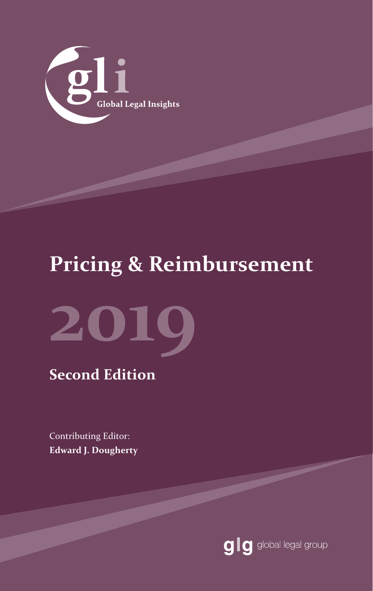

# **Pricing & Reimbursement**



### **Second Edition**

Contributing Editor: **Edward J. Dougherty**

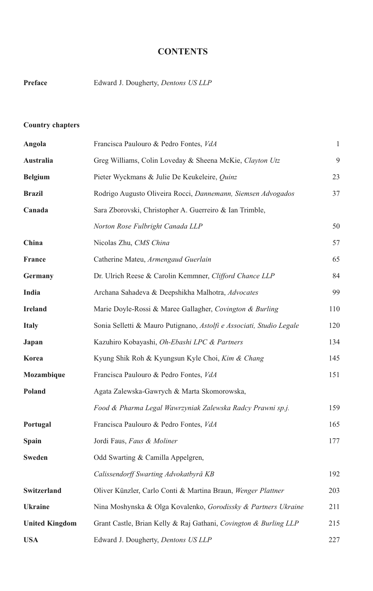#### **CONTENTS**

| Preface | Edward J. Dougherty, <i>Dentons US LLP</i> |  |
|---------|--------------------------------------------|--|
|---------|--------------------------------------------|--|

#### **Country chapters**

| Angola                | Francisca Paulouro & Pedro Fontes, VdA                               | $\mathbf{1}$ |
|-----------------------|----------------------------------------------------------------------|--------------|
| Australia             | Greg Williams, Colin Loveday & Sheena McKie, Clayton Utz             | 9            |
| <b>Belgium</b>        | Pieter Wyckmans & Julie De Keukeleire, Quinz                         | 23           |
| <b>Brazil</b>         | Rodrigo Augusto Oliveira Rocci, Dannemann, Siemsen Advogados         | 37           |
| Canada                | Sara Zborovski, Christopher A. Guerreiro & Ian Trimble,              |              |
|                       | Norton Rose Fulbright Canada LLP                                     | 50           |
| China                 | Nicolas Zhu, CMS China                                               | 57           |
| France                | Catherine Mateu, Armengaud Guerlain                                  | 65           |
| Germany               | Dr. Ulrich Reese & Carolin Kemmner, Clifford Chance LLP              | 84           |
| India                 | Archana Sahadeva & Deepshikha Malhotra, Advocates                    | 99           |
| <b>Ireland</b>        | Marie Doyle-Rossi & Maree Gallagher, Covington & Burling             | 110          |
| <b>Italy</b>          | Sonia Selletti & Mauro Putignano, Astolfi e Associati, Studio Legale | 120          |
| Japan                 | Kazuhiro Kobayashi, <i>Oh-Ebashi LPC &amp; Partners</i>              | 134          |
| Korea                 | Kyung Shik Roh & Kyungsun Kyle Choi, Kim & Chang                     | 145          |
| Mozambique            | Francisca Paulouro & Pedro Fontes, VdA                               | 151          |
| Poland                | Agata Zalewska-Gawrych & Marta Skomorowska,                          |              |
|                       | Food & Pharma Legal Wawrzyniak Zalewska Radcy Prawni sp.j.           | 159          |
| Portugal              | Francisca Paulouro & Pedro Fontes, VdA                               | 165          |
| Spain                 | Jordi Faus, Faus & Moliner                                           | 177          |
| Sweden                | Odd Swarting & Camilla Appelgren,                                    |              |
|                       | Calissendorff Swarting Advokatbyrå KB                                | 192          |
| Switzerland           | Oliver Künzler, Carlo Conti & Martina Braun, Wenger Plattner         | 203          |
| <b>Ukraine</b>        | Nina Moshynska & Olga Kovalenko, Gorodissky & Partners Ukraine       | 211          |
| <b>United Kingdom</b> | Grant Castle, Brian Kelly & Raj Gathani, Covington & Burling LLP     | 215          |
| USA                   | Edward J. Dougherty, <i>Dentons US LLP</i>                           | 227          |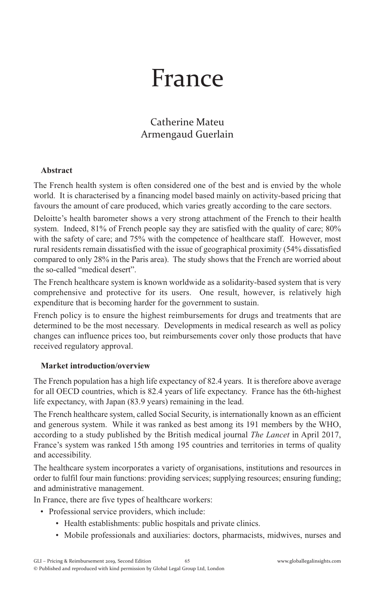# France

#### Catherine Mateu Armengaud Guerlain

#### **Abstract**

The French health system is often considered one of the best and is envied by the whole world. It is characterised by a financing model based mainly on activity-based pricing that favours the amount of care produced, which varies greatly according to the care sectors.

Deloitte's health barometer shows a very strong attachment of the French to their health system. Indeed, 81% of French people say they are satisfied with the quality of care; 80% with the safety of care; and 75% with the competence of healthcare staff. However, most rural residents remain dissatisfied with the issue of geographical proximity (54% dissatisfied compared to only 28% in the Paris area). The study shows that the French are worried about the so-called "medical desert".

The French healthcare system is known worldwide as a solidarity-based system that is very comprehensive and protective for its users. One result, however, is relatively high expenditure that is becoming harder for the government to sustain.

French policy is to ensure the highest reimbursements for drugs and treatments that are determined to be the most necessary. Developments in medical research as well as policy changes can influence prices too, but reimbursements cover only those products that have received regulatory approval.

#### **Market introduction/overview**

The French population has a high life expectancy of 82.4 years. It is therefore above average for all OECD countries, which is 82.4 years of life expectancy. France has the 6th-highest life expectancy, with Japan (83.9 years) remaining in the lead.

The French healthcare system, called Social Security, is internationally known as an efficient and generous system. While it was ranked as best among its 191 members by the WHO, according to a study published by the British medical journal *The Lancet* in April 2017, France's system was ranked 15th among 195 countries and territories in terms of quality and accessibility.

The healthcare system incorporates a variety of organisations, institutions and resources in order to fulfil four main functions: providing services; supplying resources; ensuring funding; and administrative management.

In France, there are five types of healthcare workers:

- Professional service providers, which include:
	- Health establishments: public hospitals and private clinics.
	- Mobile professionals and auxiliaries: doctors, pharmacists, midwives, nurses and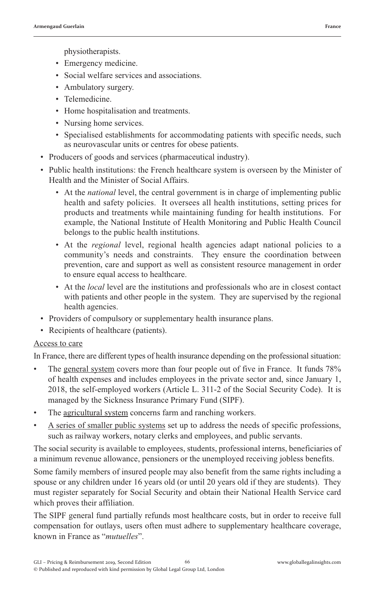physiotherapists.

- Emergency medicine.
- Social welfare services and associations.
- Ambulatory surgery.
- Telemedicine.
- Home hospitalisation and treatments.
- Nursing home services.
- Specialised establishments for accommodating patients with specific needs, such as neurovascular units or centres for obese patients.
- Producers of goods and services (pharmaceutical industry).
- Public health institutions: the French healthcare system is overseen by the Minister of Health and the Minister of Social Affairs.
	- At the *national* level, the central government is in charge of implementing public health and safety policies. It oversees all health institutions, setting prices for products and treatments while maintaining funding for health institutions. For example, the National Institute of Health Monitoring and Public Health Council belongs to the public health institutions.
	- At the *regional* level, regional health agencies adapt national policies to a community's needs and constraints. They ensure the coordination between prevention, care and support as well as consistent resource management in order to ensure equal access to healthcare.
	- At the *local* level are the institutions and professionals who are in closest contact with patients and other people in the system. They are supervised by the regional health agencies.
- Providers of compulsory or supplementary health insurance plans.
- Recipients of healthcare (patients).

#### Access to care

In France, there are different types of health insurance depending on the professional situation:

- The general system covers more than four people out of five in France. It funds 78% of health expenses and includes employees in the private sector and, since January 1, 2018, the self-employed workers (Article L. 311-2 of the Social Security Code). It is managed by the Sickness Insurance Primary Fund (SIPF).
- The agricultural system concerns farm and ranching workers.
- A series of smaller public systems set up to address the needs of specific professions, such as railway workers, notary clerks and employees, and public servants.

The social security is available to employees, students, professional interns, beneficiaries of a minimum revenue allowance, pensioners or the unemployed receiving jobless benefits.

Some family members of insured people may also benefit from the same rights including a spouse or any children under 16 years old (or until 20 years old if they are students). They must register separately for Social Security and obtain their National Health Service card which proves their affiliation.

The SIPF general fund partially refunds most healthcare costs, but in order to receive full compensation for outlays, users often must adhere to supplementary healthcare coverage, known in France as "*mutuelles*".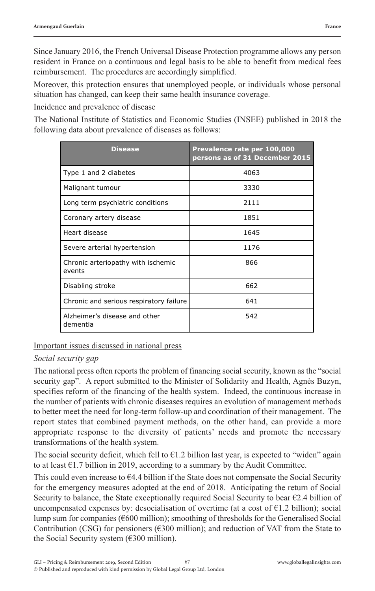Since January 2016, the French Universal Disease Protection programme allows any person resident in France on a continuous and legal basis to be able to benefit from medical fees reimbursement. The procedures are accordingly simplified.

Moreover, this protection ensures that unemployed people, or individuals whose personal situation has changed, can keep their same health insurance coverage.

Incidence and prevalence of disease

The National Institute of Statistics and Economic Studies (INSEE) published in 2018 the following data about prevalence of diseases as follows:

| <b>Disease</b>                               | Prevalence rate per 100,000<br>persons as of 31 December 2015 |
|----------------------------------------------|---------------------------------------------------------------|
| Type 1 and 2 diabetes                        | 4063                                                          |
| Malignant tumour                             | 3330                                                          |
| Long term psychiatric conditions             | 2111                                                          |
| Coronary artery disease                      | 1851                                                          |
| Heart disease                                | 1645                                                          |
| Severe arterial hypertension                 | 1176                                                          |
| Chronic arteriopathy with ischemic<br>events | 866                                                           |
| Disabling stroke                             | 662                                                           |
| Chronic and serious respiratory failure      | 641                                                           |
| Alzheimer's disease and other<br>dementia    | 542                                                           |

Important issues discussed in national press

#### *Social security gap*

The national press often reports the problem of financing social security, known as the "social security gap". A report submitted to the Minister of Solidarity and Health, Agnès Buzyn, specifies reform of the financing of the health system. Indeed, the continuous increase in the number of patients with chronic diseases requires an evolution of management methods to better meet the need for long-term follow-up and coordination of their management. The report states that combined payment methods, on the other hand, can provide a more appropriate response to the diversity of patients' needs and promote the necessary transformations of the health system.

The social security deficit, which fell to  $61.2$  billion last year, is expected to "widen" again to at least  $\epsilon$ 1.7 billion in 2019, according to a summary by the Audit Committee.

This could even increase to  $64.4$  billion if the State does not compensate the Social Security for the emergency measures adopted at the end of 2018. Anticipating the return of Social Security to balance, the State exceptionally required Social Security to bear €2.4 billion of uncompensated expenses by: desocialisation of overtime (at a cost of  $\epsilon$ 1.2 billion); social lump sum for companies (€600 million); smoothing of thresholds for the Generalised Social Contribution (CSG) for pensioners (€300 million); and reduction of VAT from the State to the Social Security system (€300 million).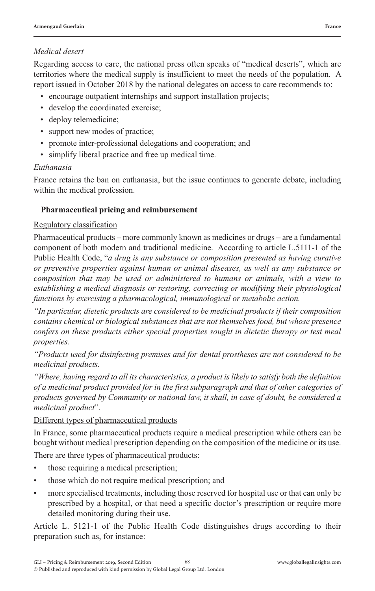#### *Medical desert*

Regarding access to care, the national press often speaks of "medical deserts", which are territories where the medical supply is insufficient to meet the needs of the population. A report issued in October 2018 by the national delegates on access to care recommends to:

- encourage outpatient internships and support installation projects;
- develop the coordinated exercise;
- deploy telemedicine;
- support new modes of practice;
- promote inter-professional delegations and cooperation; and
- simplify liberal practice and free up medical time.

#### *Euthanasia*

France retains the ban on euthanasia, but the issue continues to generate debate, including within the medical profession.

#### **Pharmaceutical pricing and reimbursement**

#### Regulatory classification

Pharmaceutical products – more commonly known as medicines or drugs – are a fundamental component of both modern and traditional medicine. According to article L.5111-1 of the Public Health Code, "*a drug is any substance or composition presented as having curative or preventive properties against human or animal diseases, as well as any substance or composition that may be used or administered to humans or animals, with a view to establishing a medical diagnosis or restoring, correcting or modifying their physiological functions by exercising a pharmacological, immunological or metabolic action.*

*"In particular, dietetic products are considered to be medicinal products if their composition contains chemical or biological substances that are not themselves food, but whose presence confers on these products either special properties sought in dietetic therapy or test meal properties.*

*"Products used for disinfecting premises and for dental prostheses are not considered to be medicinal products.*

*"Where, having regard to all its characteristics, a product is likely to satisfy both the definition of a medicinal product provided for in the first subparagraph and that of other categories of products governed by Community or national law, it shall, in case of doubt, be considered a medicinal product*".

#### Different types of pharmaceutical products

In France, some pharmaceutical products require a medical prescription while others can be bought without medical prescription depending on the composition of the medicine or its use.

There are three types of pharmaceutical products:

- those requiring a medical prescription;
- those which do not require medical prescription; and
- more specialised treatments, including those reserved for hospital use or that can only be prescribed by a hospital, or that need a specific doctor's prescription or require more detailed monitoring during their use.

Article L. 5121-1 of the Public Health Code distinguishes drugs according to their preparation such as, for instance: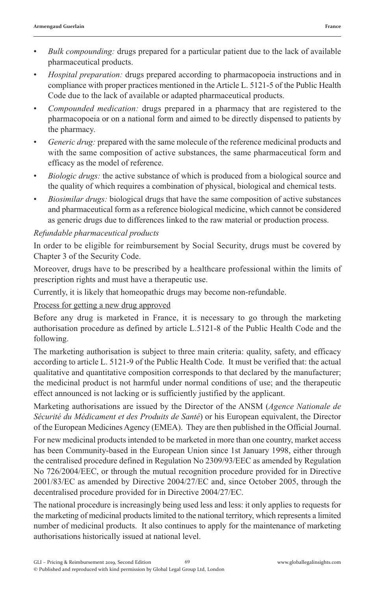- *Bulk compounding:* drugs prepared for a particular patient due to the lack of available pharmaceutical products.
- *Hospital preparation:* drugs prepared according to pharmacopoeia instructions and in compliance with proper practices mentioned in the Article L. 5121-5 of the Public Health Code due to the lack of available or adapted pharmaceutical products.
- *Compounded medication:* drugs prepared in a pharmacy that are registered to the pharmacopoeia or on a national form and aimed to be directly dispensed to patients by the pharmacy.
- *Generic drug:* prepared with the same molecule of the reference medicinal products and with the same composition of active substances, the same pharmaceutical form and efficacy as the model of reference.
- *Biologic drugs:* the active substance of which is produced from a biological source and the quality of which requires a combination of physical, biological and chemical tests.
- *Biosimilar drugs:* biological drugs that have the same composition of active substances and pharmaceutical form as a reference biological medicine, which cannot be considered as generic drugs due to differences linked to the raw material or production process.

#### *Refundable pharmaceutical products*

In order to be eligible for reimbursement by Social Security, drugs must be covered by Chapter 3 of the Security Code.

Moreover, drugs have to be prescribed by a healthcare professional within the limits of prescription rights and must have a therapeutic use.

Currently, it is likely that homeopathic drugs may become non-refundable.

#### Process for getting a new drug approved

Before any drug is marketed in France, it is necessary to go through the marketing authorisation procedure as defined by article L.5121-8 of the Public Health Code and the following.

The marketing authorisation is subject to three main criteria: quality, safety, and efficacy according to article L. 5121-9 of the Public Health Code. It must be verified that: the actual qualitative and quantitative composition corresponds to that declared by the manufacturer; the medicinal product is not harmful under normal conditions of use; and the therapeutic effect announced is not lacking or is sufficiently justified by the applicant.

Marketing authorisations are issued by the Director of the ANSM (*Agence Nationale de Sécurité du Médicament et des Produits de Santé*) or his European equivalent, the Director of the European Medicines Agency (EMEA). They are then published in the Official Journal.

For new medicinal products intended to be marketed in more than one country, market access has been Community-based in the European Union since 1st January 1998, either through the centralised procedure defined in Regulation No 2309/93/EEC as amended by Regulation No 726/2004/EEC, or through the mutual recognition procedure provided for in Directive 2001/83/EC as amended by Directive 2004/27/EC and, since October 2005, through the decentralised procedure provided for in Directive 2004/27/EC.

The national procedure is increasingly being used less and less: it only applies to requests for the marketing of medicinal products limited to the national territory, which represents a limited number of medicinal products. It also continues to apply for the maintenance of marketing authorisations historically issued at national level.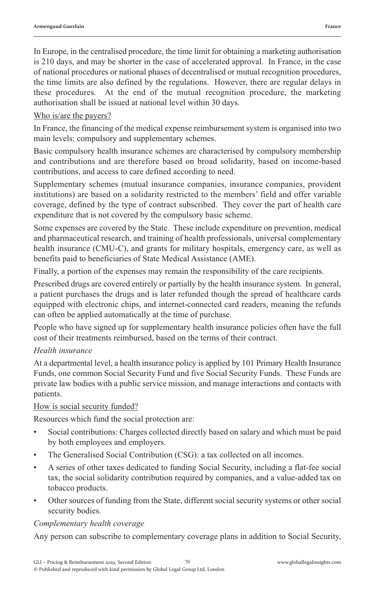In Europe, in the centralised procedure, the time limit for obtaining a marketing authorisation is 210 days, and may be shorter in the case of accelerated approval. In France, in the case of national procedures or national phases of decentralised or mutual recognition procedures, the time limits are also defined by the regulations. However, there are regular delays in these procedures. At the end of the mutual recognition procedure, the marketing authorisation shall be issued at national level within 30 days.

#### Who is/are the payers?

In France, the financing of the medical expense reimbursement system is organised into two main levels: compulsory and supplementary schemes.

Basic compulsory health insurance schemes are characterised by compulsory membership and contributions and are therefore based on broad solidarity, based on income-based contributions, and access to care defined according to need.

Supplementary schemes (mutual insurance companies, insurance companies, provident institutions) are based on a solidarity restricted to the members' field and offer variable coverage, defined by the type of contract subscribed. They cover the part of health care expenditure that is not covered by the compulsory basic scheme.

Some expenses are covered by the State. These include expenditure on prevention, medical and pharmaceutical research, and training of health professionals, universal complementary health insurance (CMU-C), and grants for military hospitals, emergency care, as well as benefits paid to beneficiaries of State Medical Assistance (AME).

Finally, a portion of the expenses may remain the responsibility of the care recipients.

Prescribed drugs are covered entirely or partially by the health insurance system. In general, a patient purchases the drugs and is later refunded though the spread of healthcare cards equipped with electronic chips, and internet-connected card readers, meaning the refunds can often be applied automatically at the time of purchase.

People who have signed up for supplementary health insurance policies often have the full cost of their treatments reimbursed, based on the terms of their contract.

#### *Health insurance*

At a departmental level, a health insurance policy is applied by 101 Primary Health Insurance Funds, one common Social Security Fund and five Social Security Funds. These Funds are private law bodies with a public service mission, and manage interactions and contacts with patients.

#### How is social security funded?

Resources which fund the social protection are:

- Social contributions: Charges collected directly based on salary and which must be paid by both employees and employers.
- The Generalised Social Contribution (CSG): a tax collected on all incomes.
- A series of other taxes dedicated to funding Social Security, including a flat-fee social tax, the social solidarity contribution required by companies, and a value-added tax on tobacco products.
- Other sources of funding from the State, different social security systems or other social security bodies.

#### *Complementary health coverage*

Any person can subscribe to complementary coverage plans in addition to Social Security,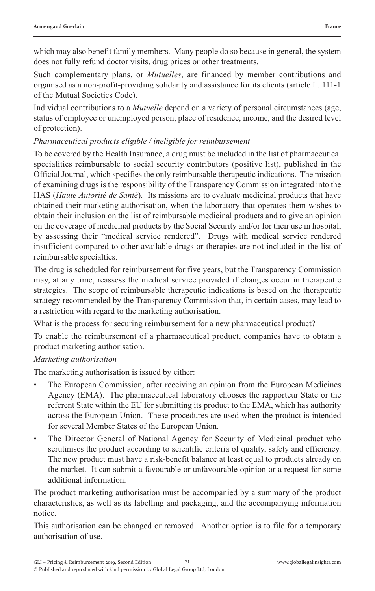which may also benefit family members. Many people do so because in general, the system does not fully refund doctor visits, drug prices or other treatments.

Such complementary plans, or *Mutuelles*, are financed by member contributions and organised as a non-profit-providing solidarity and assistance for its clients (article L. 111-1 of the Mutual Societies Code).

Individual contributions to a *Mutuelle* depend on a variety of personal circumstances (age, status of employee or unemployed person, place of residence, income, and the desired level of protection).

#### *Pharmaceutical products eligible / ineligible for reimbursement*

To be covered by the Health Insurance, a drug must be included in the list of pharmaceutical specialities reimbursable to social security contributors (positive list), published in the Official Journal, which specifies the only reimbursable therapeutic indications. The mission of examining drugs is the responsibility of the Transparency Commission integrated into the HAS (*Haute Autorité de Santé*). Its missions are to evaluate medicinal products that have obtained their marketing authorisation, when the laboratory that operates them wishes to obtain their inclusion on the list of reimbursable medicinal products and to give an opinion on the coverage of medicinal products by the Social Security and/or for their use in hospital, by assessing their "medical service rendered". Drugs with medical service rendered insufficient compared to other available drugs or therapies are not included in the list of reimbursable specialties.

The drug is scheduled for reimbursement for five years, but the Transparency Commission may, at any time, reassess the medical service provided if changes occur in therapeutic strategies. The scope of reimbursable therapeutic indications is based on the therapeutic strategy recommended by the Transparency Commission that, in certain cases, may lead to a restriction with regard to the marketing authorisation.

What is the process for securing reimbursement for a new pharmaceutical product?

To enable the reimbursement of a pharmaceutical product, companies have to obtain a product marketing authorisation.

#### *Marketing authorisation*

The marketing authorisation is issued by either:

- The European Commission, after receiving an opinion from the European Medicines Agency (EMA). The pharmaceutical laboratory chooses the rapporteur State or the referent State within the EU for submitting its product to the EMA, which has authority across the European Union. These procedures are used when the product is intended for several Member States of the European Union.
- The Director General of National Agency for Security of Medicinal product who scrutinises the product according to scientific criteria of quality, safety and efficiency. The new product must have a risk-benefit balance at least equal to products already on the market. It can submit a favourable or unfavourable opinion or a request for some additional information.

The product marketing authorisation must be accompanied by a summary of the product characteristics, as well as its labelling and packaging, and the accompanying information notice.

This authorisation can be changed or removed. Another option is to file for a temporary authorisation of use.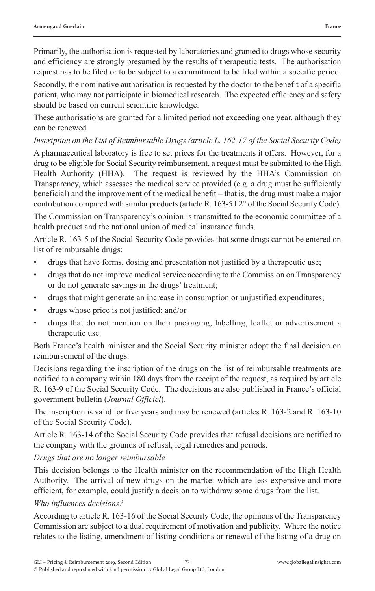Primarily, the authorisation is requested by laboratories and granted to drugs whose security and efficiency are strongly presumed by the results of therapeutic tests. The authorisation request has to be filed or to be subject to a commitment to be filed within a specific period.

Secondly, the nominative authorisation is requested by the doctor to the benefit of a specific patient, who may not participate in biomedical research. The expected efficiency and safety should be based on current scientific knowledge.

These authorisations are granted for a limited period not exceeding one year, although they can be renewed.

#### *Inscription on the List of Reimbursable Drugs (article L. 162-17 of the Social Security Code)*

A pharmaceutical laboratory is free to set prices for the treatments it offers. However, for a drug to be eligible for Social Security reimbursement, a request must be submitted to the High Health Authority (HHA). The request is reviewed by the HHA's Commission on Transparency, which assesses the medical service provided (e.g. a drug must be sufficiently beneficial) and the improvement of the medical benefit – that is, the drug must make a major contribution compared with similar products (article R. 163-5 I 2° of the Social Security Code).

The Commission on Transparency's opinion is transmitted to the economic committee of a health product and the national union of medical insurance funds.

Article R. 163-5 of the Social Security Code provides that some drugs cannot be entered on list of reimbursable drugs:

- drugs that have forms, dosing and presentation not justified by a therapeutic use;
- drugs that do not improve medical service according to the Commission on Transparency or do not generate savings in the drugs' treatment;
- drugs that might generate an increase in consumption or unjustified expenditures;
- drugs whose price is not justified; and/or
- drugs that do not mention on their packaging, labelling, leaflet or advertisement a therapeutic use.

Both France's health minister and the Social Security minister adopt the final decision on reimbursement of the drugs.

Decisions regarding the inscription of the drugs on the list of reimbursable treatments are notified to a company within 180 days from the receipt of the request, as required by article R. 163-9 of the Social Security Code. The decisions are also published in France's official government bulletin (*Journal Officiel*).

The inscription is valid for five years and may be renewed (articles R. 163-2 and R. 163-10 of the Social Security Code).

Article R. 163-14 of the Social Security Code provides that refusal decisions are notified to the company with the grounds of refusal, legal remedies and periods.

#### *Drugs that are no longer reimbursable*

This decision belongs to the Health minister on the recommendation of the High Health Authority. The arrival of new drugs on the market which are less expensive and more efficient, for example, could justify a decision to withdraw some drugs from the list.

#### *Who influences decisions?*

According to article R. 163-16 of the Social Security Code, the opinions of the Transparency Commission are subject to a dual requirement of motivation and publicity. Where the notice relates to the listing, amendment of listing conditions or renewal of the listing of a drug on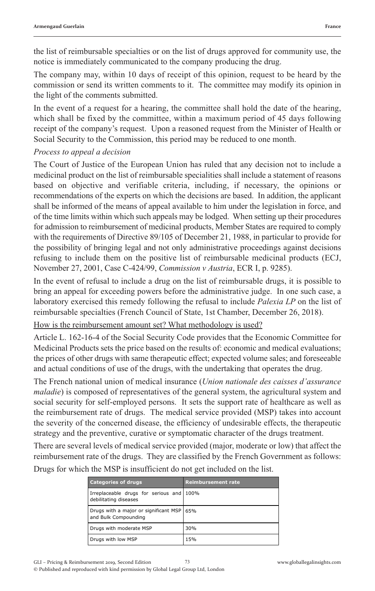the list of reimbursable specialties or on the list of drugs approved for community use, the notice is immediately communicated to the company producing the drug.

The company may, within 10 days of receipt of this opinion, request to be heard by the commission or send its written comments to it. The committee may modify its opinion in the light of the comments submitted.

In the event of a request for a hearing, the committee shall hold the date of the hearing, which shall be fixed by the committee, within a maximum period of 45 days following receipt of the company's request. Upon a reasoned request from the Minister of Health or Social Security to the Commission, this period may be reduced to one month.

#### *Process to appeal a decision*

The Court of Justice of the European Union has ruled that any decision not to include a medicinal product on the list of reimbursable specialities shall include a statement of reasons based on objective and verifiable criteria, including, if necessary, the opinions or recommendations of the experts on which the decisions are based. In addition, the applicant shall be informed of the means of appeal available to him under the legislation in force, and of the time limits within which such appeals may be lodged. When setting up their procedures for admission to reimbursement of medicinal products, Member States are required to comply with the requirements of Directive 89/105 of December 21, 1988, in particular to provide for the possibility of bringing legal and not only administrative proceedings against decisions refusing to include them on the positive list of reimbursable medicinal products (ECJ, November 27, 2001, Case C-424/99, *Commission v Austria*, ECR I, p. 9285).

In the event of refusal to include a drug on the list of reimbursable drugs, it is possible to bring an appeal for exceeding powers before the administrative judge. In one such case, a laboratory exercised this remedy following the refusal to include *Palexia LP* on the list of reimbursable specialties (French Council of State, 1st Chamber, December 26, 2018).

How is the reimbursement amount set? What methodology is used?

Article L. 162-16-4 of the Social Security Code provides that the Economic Committee for Medicinal Products sets the price based on the results of: economic and medical evaluations; the prices of other drugs with same therapeutic effect; expected volume sales; and foreseeable and actual conditions of use of the drugs, with the undertaking that operates the drug.

The French national union of medical insurance (*Union nationale des caisses d'assurance maladie*) is composed of representatives of the general system, the agricultural system and social security for self-employed persons. It sets the support rate of healthcare as well as the reimbursement rate of drugs. The medical service provided (MSP) takes into account the severity of the concerned disease, the efficiency of undesirable effects, the therapeutic strategy and the preventive, curative or symptomatic character of the drugs treatment.

There are several levels of medical service provided (major, moderate or low) that affect the reimbursement rate of the drugs. They are classified by the French Government as follows:

| <b>Categories of drugs</b>                                        | <b>Reimbursement rate</b> |
|-------------------------------------------------------------------|---------------------------|
| Irreplaceable drugs for serious and 100%<br>debilitating diseases |                           |
| Drugs with a major or significant MSP 65%<br>and Bulk Compounding |                           |
| Drugs with moderate MSP                                           | 30%                       |
| Drugs with low MSP                                                | 15%                       |

Drugs for which the MSP is insufficient do not get included on the list.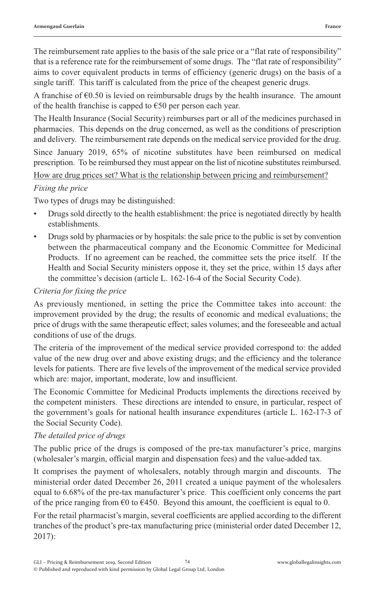The reimbursement rate applies to the basis of the sale price or a "flat rate of responsibility" that is a reference rate for the reimbursement of some drugs. The "flat rate of responsibility" aims to cover equivalent products in terms of efficiency (generic drugs) on the basis of a single tariff. This tariff is calculated from the price of the cheapest generic drugs.

A franchise of  $\epsilon$ 0.50 is levied on reimbursable drugs by the health insurance. The amount of the health franchise is capped to  $\epsilon$ 50 per person each year.

The Health Insurance (Social Security) reimburses part or all of the medicines purchased in pharmacies. This depends on the drug concerned, as well as the conditions of prescription and delivery. The reimbursement rate depends on the medical service provided for the drug.

Since January 2019, 65% of nicotine substitutes have been reimbursed on medical prescription. To be reimbursed they must appear on the list of nicotine substitutes reimbursed.

How are drug prices set? What is the relationship between pricing and reimbursement?

#### *Fixing the price*

Two types of drugs may be distinguished:

- Drugs sold directly to the health establishment: the price is negotiated directly by health establishments.
- Drugs sold by pharmacies or by hospitals: the sale price to the public is set by convention between the pharmaceutical company and the Economic Committee for Medicinal Products. If no agreement can be reached, the committee sets the price itself. If the Health and Social Security ministers oppose it, they set the price, within 15 days after the committee's decision (article L. 162-16-4 of the Social Security Code).

#### *Criteria for fixing the price*

As previously mentioned, in setting the price the Committee takes into account: the improvement provided by the drug; the results of economic and medical evaluations; the price of drugs with the same therapeutic effect; sales volumes; and the foreseeable and actual conditions of use of the drugs.

The criteria of the improvement of the medical service provided correspond to: the added value of the new drug over and above existing drugs; and the efficiency and the tolerance levels for patients. There are five levels of the improvement of the medical service provided which are: major, important, moderate, low and insufficient.

The Economic Committee for Medicinal Products implements the directions received by the competent ministers. These directions are intended to ensure, in particular, respect of the government's goals for national health insurance expenditures (article L. 162-17-3 of the Social Security Code).

#### *The detailed price of drugs*

The public price of the drugs is composed of the pre-tax manufacturer's price, margins (wholesaler's margin, official margin and dispensation fees) and the value-added tax.

It comprises the payment of wholesalers, notably through margin and discounts. The ministerial order dated December 26, 2011 created a unique payment of the wholesalers equal to 6.68% of the pre-tax manufacturer's price. This coefficient only concerns the part of the price ranging from  $\epsilon$ 0 to  $\epsilon$ 450. Beyond this amount, the coefficient is equal to 0.

For the retail pharmacist's margin, several coefficients are applied according to the different tranches of the product's pre-tax manufacturing price (ministerial order dated December 12, 2017):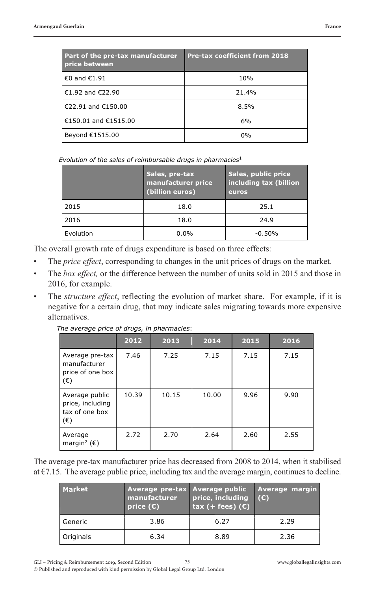| Part of the pre-tax manufacturer<br>price between | <b>Pre-tax coefficient from 2018</b> |
|---------------------------------------------------|--------------------------------------|
| €0 and €1.91                                      | 10%                                  |
| €1.92 and €22.90                                  | 21.4%                                |
| €22.91 and €150.00                                | 8.5%                                 |
| €150.01 and €1515.00                              | 6%                                   |
| Beyond €1515.00                                   | 0%                                   |

Evolution of the sales of reimbursable drugs in pharmacies<sup>1</sup>

|           | Sales, pre-tax<br>manufacturer price<br>(billion euros) | Sales, public price<br>including tax (billion<br>euros |  |
|-----------|---------------------------------------------------------|--------------------------------------------------------|--|
| 2015      | 18.0                                                    | 25.1                                                   |  |
| 2016      | 18.0                                                    | 24.9                                                   |  |
| Evolution | $0.0\%$                                                 | $-0.50%$                                               |  |

The overall growth rate of drugs expenditure is based on three effects:

- The *price effect*, corresponding to changes in the unit prices of drugs on the market.
- The *box effect,* or the difference between the number of units sold in 2015 and those in 2016, for example.
- The *structure effect*, reflecting the evolution of market share. For example, if it is negative for a certain drug, that may indicate sales migrating towards more expensive alternatives.

|                                                                      | 2012  | 2013  | 2014  | 2015 | 2016 |
|----------------------------------------------------------------------|-------|-------|-------|------|------|
| Average pre-tax<br>manufacturer<br>price of one box<br>$(\epsilon)$  | 7.46  | 7.25  | 7.15  | 7.15 | 7.15 |
| Average public<br>price, including<br>tax of one box<br>$(\epsilon)$ | 10.39 | 10.15 | 10.00 | 9.96 | 9.90 |
| Average<br>margin <sup>2</sup> ( $\epsilon$ )                        | 2.72  | 2.70  | 2.64  | 2.60 | 2.55 |

*The average price of drugs, in pharmacies:* 

The average pre-tax manufacturer price has decreased from 2008 to 2014, when it stabilised at €7.15. The average public price, including tax and the average margin, continues to decline.

| <b>Market</b> | Average pre-tax Average public<br>manufacturer<br>price $(C)$ | price, including<br>tax $(+$ fees) $(\mathbf{C})$ | Average margin<br>(C) |
|---------------|---------------------------------------------------------------|---------------------------------------------------|-----------------------|
| l Generic     | 3.86                                                          | 6.27                                              | 2.29                  |
| Originals     | 6.34                                                          | 8.89                                              | 2.36                  |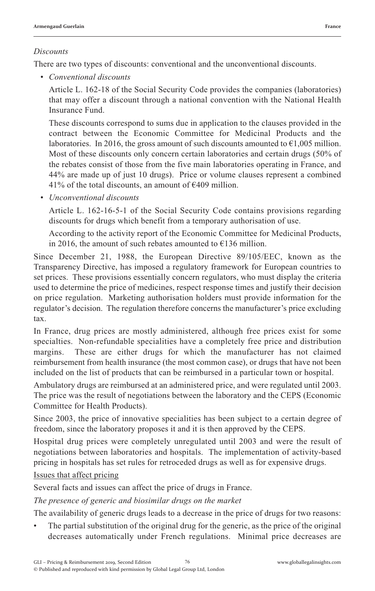#### *Discounts*

There are two types of discounts: conventional and the unconventional discounts.

*• Conventional discounts*

Article L. 162-18 of the Social Security Code provides the companies (laboratories) that may offer a discount through a national convention with the National Health Insurance Fund.

These discounts correspond to sums due in application to the clauses provided in the contract between the Economic Committee for Medicinal Products and the laboratories. In 2016, the gross amount of such discounts amounted to  $\epsilon$ 1,005 million. Most of these discounts only concern certain laboratories and certain drugs (50% of the rebates consist of those from the five main laboratories operating in France, and 44% are made up of just 10 drugs). Price or volume clauses represent a combined 41% of the total discounts, an amount of  $\epsilon$ 409 million.

*• Unconventional discounts*

Article L. 162-16-5-1 of the Social Security Code contains provisions regarding discounts for drugs which benefit from a temporary authorisation of use.

According to the activity report of the Economic Committee for Medicinal Products, in 2016, the amount of such rebates amounted to  $E$ 136 million.

Since December 21, 1988, the European Directive 89/105/EEC, known as the Transparency Directive, has imposed a regulatory framework for European countries to set prices. These provisions essentially concern regulators, who must display the criteria used to determine the price of medicines, respect response times and justify their decision on price regulation. Marketing authorisation holders must provide information for the regulator's decision. The regulation therefore concerns the manufacturer's price excluding tax.

In France, drug prices are mostly administered, although free prices exist for some specialties. Non-refundable specialities have a completely free price and distribution margins. These are either drugs for which the manufacturer has not claimed reimbursement from health insurance (the most common case), or drugs that have not been included on the list of products that can be reimbursed in a particular town or hospital.

Ambulatory drugs are reimbursed at an administered price, and were regulated until 2003. The price was the result of negotiations between the laboratory and the CEPS (Economic Committee for Health Products).

Since 2003, the price of innovative specialities has been subject to a certain degree of freedom, since the laboratory proposes it and it is then approved by the CEPS.

Hospital drug prices were completely unregulated until 2003 and were the result of negotiations between laboratories and hospitals. The implementation of activity-based pricing in hospitals has set rules for retroceded drugs as well as for expensive drugs.

#### Issues that affect pricing

Several facts and issues can affect the price of drugs in France.

*The presence of generic and biosimilar drugs on the market*

The availability of generic drugs leads to a decrease in the price of drugs for two reasons:

The partial substitution of the original drug for the generic, as the price of the original decreases automatically under French regulations. Minimal price decreases are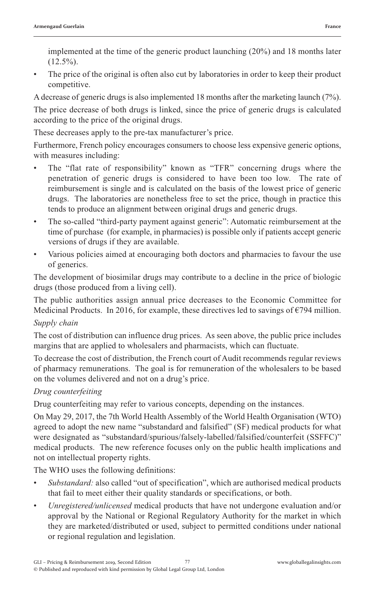implemented at the time of the generic product launching (20%) and 18 months later  $(12.5\%)$ .

The price of the original is often also cut by laboratories in order to keep their product competitive.

A decrease of generic drugs is also implemented 18 months after the marketing launch (7%).

The price decrease of both drugs is linked, since the price of generic drugs is calculated according to the price of the original drugs.

These decreases apply to the pre-tax manufacturer's price.

Furthermore, French policy encourages consumers to choose less expensive generic options, with measures including:

- The "flat rate of responsibility" known as "TFR" concerning drugs where the penetration of generic drugs is considered to have been too low. The rate of reimbursement is single and is calculated on the basis of the lowest price of generic drugs. The laboratories are nonetheless free to set the price, though in practice this tends to produce an alignment between original drugs and generic drugs.
- The so-called "third-party payment against generic": Automatic reimbursement at the time of purchase (for example, in pharmacies) is possible only if patients accept generic versions of drugs if they are available.
- Various policies aimed at encouraging both doctors and pharmacies to favour the use of generics.

The development of biosimilar drugs may contribute to a decline in the price of biologic drugs (those produced from a living cell).

The public authorities assign annual price decreases to the Economic Committee for Medicinal Products. In 2016, for example, these directives led to savings of  $\epsilon$ 794 million.

#### *Supply chain*

The cost of distribution can influence drug prices. As seen above, the public price includes margins that are applied to wholesalers and pharmacists, which can fluctuate.

To decrease the cost of distribution, the French court of Audit recommends regular reviews of pharmacy remunerations. The goal is for remuneration of the wholesalers to be based on the volumes delivered and not on a drug's price.

#### *Drug counterfeiting*

Drug counterfeiting may refer to various concepts, depending on the instances.

On May 29, 2017, the 7th World Health Assembly of the World Health Organisation (WTO) agreed to adopt the new name "substandard and falsified" (SF) medical products for what were designated as "substandard/spurious/falsely-labelled/falsified/counterfeit (SSFFC)" medical products. The new reference focuses only on the public health implications and not on intellectual property rights.

The WHO uses the following definitions:

- *Substandard:* also called "out of specification", which are authorised medical products that fail to meet either their quality standards or specifications, or both.
- *Unregistered/unlicensed* medical products that have not undergone evaluation and/or approval by the National or Regional Regulatory Authority for the market in which they are marketed/distributed or used, subject to permitted conditions under national or regional regulation and legislation.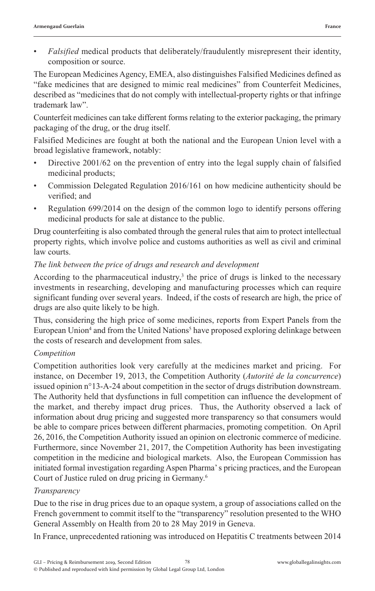• *Falsified* medical products that deliberately/fraudulently misrepresent their identity, composition or source.

The European Medicines Agency, EMEA, also distinguishes Falsified Medicines defined as "fake medicines that are designed to mimic real medicines" from Counterfeit Medicines, described as "medicines that do not comply with intellectual-property rights or that infringe trademark law".

Counterfeit medicines can take different forms relating to the exterior packaging, the primary packaging of the drug, or the drug itself.

Falsified Medicines are fought at both the national and the European Union level with a broad legislative framework, notably:

- Directive 2001/62 on the prevention of entry into the legal supply chain of falsified medicinal products;
- Commission Delegated Regulation 2016/161 on how medicine authenticity should be verified; and
- Regulation 699/2014 on the design of the common logo to identify persons offering medicinal products for sale at distance to the public.

Drug counterfeiting is also combated through the general rules that aim to protect intellectual property rights, which involve police and customs authorities as well as civil and criminal law courts.

#### *The link between the price of drugs and research and development*

According to the pharmaceutical industry, $3$  the price of drugs is linked to the necessary investments in researching, developing and manufacturing processes which can require significant funding over several years. Indeed, if the costs of research are high, the price of drugs are also quite likely to be high.

Thus, considering the high price of some medicines, reports from Expert Panels from the European Union<sup>4</sup> and from the United Nations<sup>5</sup> have proposed exploring delinkage between the costs of research and development from sales.

#### *Competition*

Competition authorities look very carefully at the medicines market and pricing. For instance, on December 19, 2013, the Competition Authority (*Autorité de la concurrence*) issued opinion n°13-A-24 about competition in the sector of drugs distribution downstream. The Authority held that dysfunctions in full competition can influence the development of the market, and thereby impact drug prices. Thus, the Authority observed a lack of information about drug pricing and suggested more transparency so that consumers would be able to compare prices between different pharmacies, promoting competition. On April 26, 2016, the Competition Authority issued an opinion on electronic commerce of medicine. Furthermore, since November 21, 2017, the Competition Authority has been investigating competition in the medicine and biological markets. Also, the European Commission has initiated formal investigation regarding Aspen Pharma' s pricing practices, and the European Court of Justice ruled on drug pricing in Germany.6

#### *Transparency*

Due to the rise in drug prices due to an opaque system, a group of associations called on the French government to commit itself to the "transparency" resolution presented to the WHO General Assembly on Health from 20 to 28 May 2019 in Geneva.

In France, unprecedented rationing was introduced on Hepatitis C treatments between 2014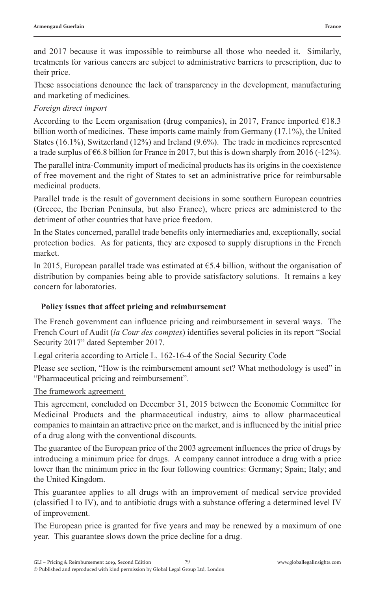and 2017 because it was impossible to reimburse all those who needed it. Similarly, treatments for various cancers are subject to administrative barriers to prescription, due to their price.

These associations denounce the lack of transparency in the development, manufacturing and marketing of medicines.

#### *Foreign direct import*

According to the Leem organisation (drug companies), in 2017, France imported  $\epsilon$ 18.3 billion worth of medicines. These imports came mainly from Germany (17.1%), the United States (16.1%), Switzerland (12%) and Ireland (9.6%). The trade in medicines represented a trade surplus of  $\epsilon$ 6.8 billion for France in 2017, but this is down sharply from 2016 (-12%).

The parallel intra-Community import of medicinal products has its origins in the coexistence of free movement and the right of States to set an administrative price for reimbursable medicinal products.

Parallel trade is the result of government decisions in some southern European countries (Greece, the Iberian Peninsula, but also France), where prices are administered to the detriment of other countries that have price freedom.

In the States concerned, parallel trade benefits only intermediaries and, exceptionally, social protection bodies. As for patients, they are exposed to supply disruptions in the French market.

In 2015, European parallel trade was estimated at  $65.4$  billion, without the organisation of distribution by companies being able to provide satisfactory solutions. It remains a key concern for laboratories.

#### **Policy issues that affect pricing and reimbursement**

The French government can influence pricing and reimbursement in several ways. The French Court of Audit (*la Cour des comptes*) identifies several policies in its report "Social Security 2017" dated September 2017.

Legal criteria according to Article L. 162-16-4 of the Social Security Code

Please see section, "How is the reimbursement amount set? What methodology is used" in "Pharmaceutical pricing and reimbursement".

The framework agreement

This agreement, concluded on December 31, 2015 between the Economic Committee for Medicinal Products and the pharmaceutical industry, aims to allow pharmaceutical companies to maintain an attractive price on the market, and is influenced by the initial price of a drug along with the conventional discounts.

The guarantee of the European price of the 2003 agreement influences the price of drugs by introducing a minimum price for drugs. A company cannot introduce a drug with a price lower than the minimum price in the four following countries: Germany; Spain; Italy; and the United Kingdom.

This guarantee applies to all drugs with an improvement of medical service provided (classified I to IV), and to antibiotic drugs with a substance offering a determined level IV of improvement.

The European price is granted for five years and may be renewed by a maximum of one year. This guarantee slows down the price decline for a drug.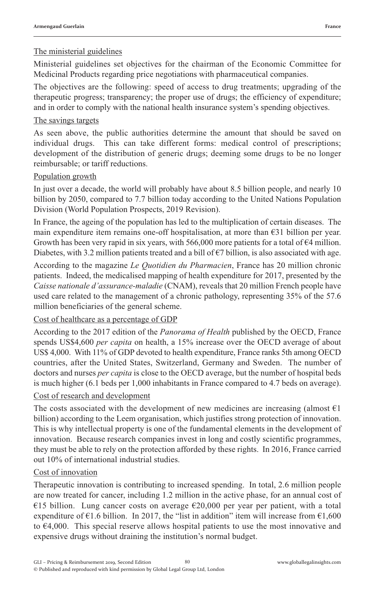#### The ministerial guidelines

Ministerial guidelines set objectives for the chairman of the Economic Committee for Medicinal Products regarding price negotiations with pharmaceutical companies.

The objectives are the following: speed of access to drug treatments; upgrading of the therapeutic progress; transparency; the proper use of drugs; the efficiency of expenditure; and in order to comply with the national health insurance system's spending objectives.

#### The savings targets

As seen above, the public authorities determine the amount that should be saved on individual drugs. This can take different forms: medical control of prescriptions; development of the distribution of generic drugs; deeming some drugs to be no longer reimbursable; or tariff reductions.

#### Population growth

In just over a decade, the world will probably have about 8.5 billion people, and nearly 10 billion by 2050, compared to 7.7 billion today according to the United Nations Population Division (World Population Prospects, 2019 Revision).

In France, the ageing of the population has led to the multiplication of certain diseases. The main expenditure item remains one-off hospitalisation, at more than  $\epsilon$ 31 billion per year. Growth has been very rapid in six years, with 566,000 more patients for a total of  $\epsilon$ 4 million. Diabetes, with 3.2 million patients treated and a bill of  $\epsilon$ 7 billion, is also associated with age.

According to the magazine *Le Quotidien du Pharmacien*, France has 20 million chronic patients. Indeed, the medicalised mapping of health expenditure for 2017, presented by the *Caisse nationale d'assurance-maladie* (CNAM), reveals that 20 million French people have used care related to the management of a chronic pathology, representing 35% of the 57.6 million beneficiaries of the general scheme.

#### Cost of healthcare as a percentage of GDP

According to the 2017 edition of the *Panorama of Health* published by the OECD, France spends US\$4,600 *per capita* on health, a 15% increase over the OECD average of about US\$ 4,000. With 11% of GDP devoted to health expenditure, France ranks 5th among OECD countries, after the United States, Switzerland, Germany and Sweden. The number of doctors and nurses *per capita* is close to the OECD average, but the number of hospital beds is much higher (6.1 beds per 1,000 inhabitants in France compared to 4.7 beds on average).

#### Cost of research and development

The costs associated with the development of new medicines are increasing (almost  $E1$ billion) according to the Leem organisation, which justifies strong protection of innovation. This is why intellectual property is one of the fundamental elements in the development of innovation. Because research companies invest in long and costly scientific programmes, they must be able to rely on the protection afforded by these rights. In 2016, France carried out 10% of international industrial studies.

#### Cost of innovation

Therapeutic innovation is contributing to increased spending. In total, 2.6 million people are now treated for cancer, including 1.2 million in the active phase, for an annual cost of €15 billion. Lung cancer costs on average  $€20,000$  per year per patient, with a total expenditure of  $\epsilon$ 1.6 billion. In 2017, the "list in addition" item will increase from  $\epsilon$ 1,600 to  $64,000$ . This special reserve allows hospital patients to use the most innovative and expensive drugs without draining the institution's normal budget.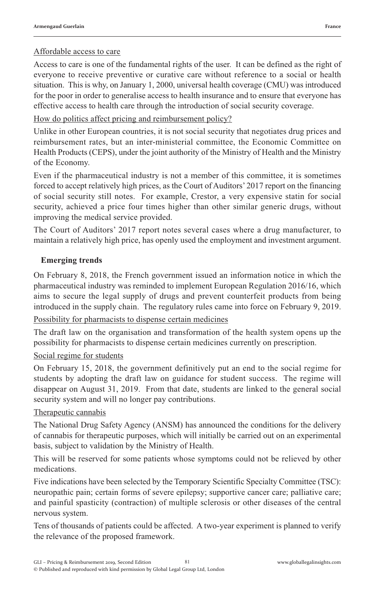#### Affordable access to care

Access to care is one of the fundamental rights of the user. It can be defined as the right of everyone to receive preventive or curative care without reference to a social or health situation. This is why, on January 1, 2000, universal health coverage (CMU) was introduced for the poor in order to generalise access to health insurance and to ensure that everyone has effective access to health care through the introduction of social security coverage.

#### How do politics affect pricing and reimbursement policy?

Unlike in other European countries, it is not social security that negotiates drug prices and reimbursement rates, but an inter-ministerial committee, the Economic Committee on Health Products (CEPS), under the joint authority of the Ministry of Health and the Ministry of the Economy.

Even if the pharmaceutical industry is not a member of this committee, it is sometimes forced to accept relatively high prices, as the Court of Auditors' 2017 report on the financing of social security still notes. For example, Crestor, a very expensive statin for social security, achieved a price four times higher than other similar generic drugs, without improving the medical service provided.

The Court of Auditors' 2017 report notes several cases where a drug manufacturer, to maintain a relatively high price, has openly used the employment and investment argument.

#### **Emerging trends**

On February 8, 2018, the French government issued an information notice in which the pharmaceutical industry was reminded to implement European Regulation 2016/16, which aims to secure the legal supply of drugs and prevent counterfeit products from being introduced in the supply chain. The regulatory rules came into force on February 9, 2019.

#### Possibility for pharmacists to dispense certain medicines

The draft law on the organisation and transformation of the health system opens up the possibility for pharmacists to dispense certain medicines currently on prescription.

#### Social regime for students

On February 15, 2018, the government definitively put an end to the social regime for students by adopting the draft law on guidance for student success. The regime will disappear on August 31, 2019. From that date, students are linked to the general social security system and will no longer pay contributions.

#### Therapeutic cannabis

The National Drug Safety Agency (ANSM) has announced the conditions for the delivery of cannabis for therapeutic purposes, which will initially be carried out on an experimental basis, subject to validation by the Ministry of Health.

This will be reserved for some patients whose symptoms could not be relieved by other medications.

Five indications have been selected by the Temporary Scientific Specialty Committee (TSC): neuropathic pain; certain forms of severe epilepsy; supportive cancer care; palliative care; and painful spasticity (contraction) of multiple sclerosis or other diseases of the central nervous system.

Tens of thousands of patients could be affected. A two-year experiment is planned to verify the relevance of the proposed framework.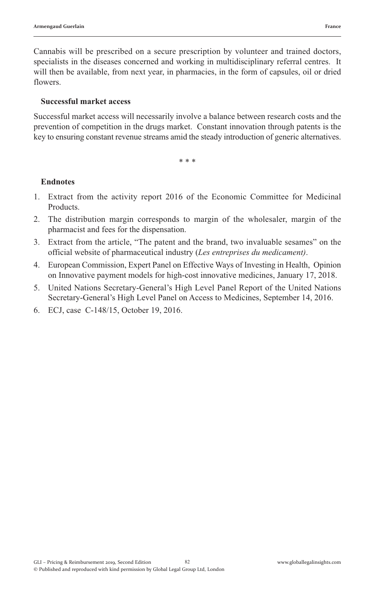Cannabis will be prescribed on a secure prescription by volunteer and trained doctors, specialists in the diseases concerned and working in multidisciplinary referral centres. It will then be available, from next year, in pharmacies, in the form of capsules, oil or dried flowers.

#### **Successful market access**

Successful market access will necessarily involve a balance between research costs and the prevention of competition in the drugs market. Constant innovation through patents is the key to ensuring constant revenue streams amid the steady introduction of generic alternatives.

\* \* \*

#### **Endnotes**

- 1. Extract from the activity report 2016 of the Economic Committee for Medicinal Products.
- 2. The distribution margin corresponds to margin of the wholesaler, margin of the pharmacist and fees for the dispensation.
- 3. Extract from the article, "The patent and the brand, two invaluable sesames" on the official website of pharmaceutical industry (*Les entreprises du medicament)*.
- 4. European Commission, Expert Panel on Effective Ways of Investing in Health, Opinion on Innovative payment models for high-cost innovative medicines, January 17, 2018.
- 5. United Nations Secretary-General's High Level Panel Report of the United Nations Secretary-General's High Level Panel on Access to Medicines, September 14, 2016.
- 6. ECJ, case C-148/15, October 19, 2016.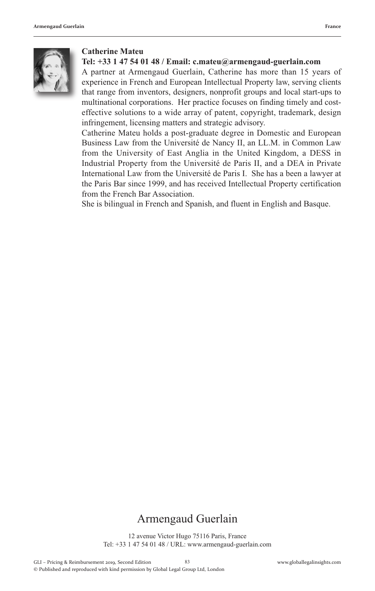

#### **Catherine Mateu**

#### **Tel: +33 1 47 54 01 48 / Email: c.mateu@armengaud-guerlain.com**

A partner at Armengaud Guerlain, Catherine has more than 15 years of experience in French and European Intellectual Property law, serving clients that range from inventors, designers, nonprofit groups and local start-ups to multinational corporations. Her practice focuses on finding timely and costeffective solutions to a wide array of patent, copyright, trademark, design infringement, licensing matters and strategic advisory.

Catherine Mateu holds a post-graduate degree in Domestic and European Business Law from the Université de Nancy II, an LL.M. in Common Law from the University of East Anglia in the United Kingdom, a DESS in Industrial Property from the Université de Paris II, and a DEA in Private International Law from the Université de Paris I. She has a been a lawyer at the Paris Bar since 1999, and has received Intellectual Property certification from the French Bar Association.

She is bilingual in French and Spanish, and fluent in English and Basque.

### Armengaud Guerlain

12 avenue Victor Hugo 75116 Paris, France Tel: +33 1 47 54 01 48 / URL: www.armengaud-guerlain.com